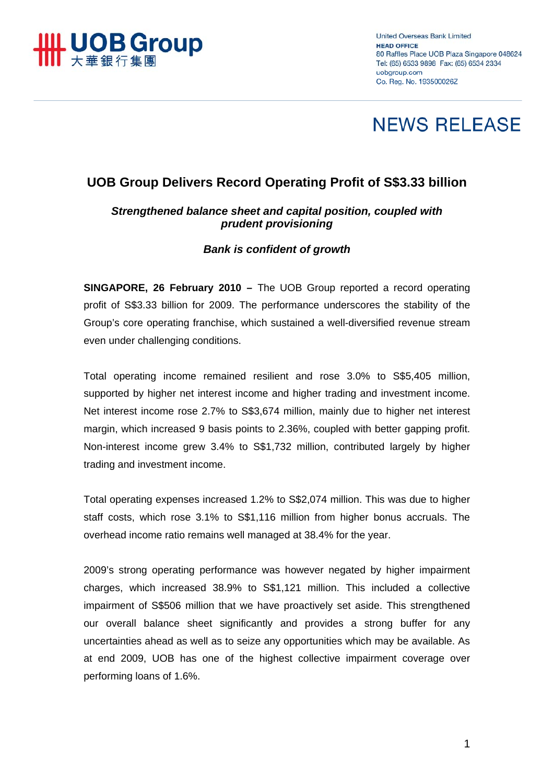

**United Overseas Bank Limited HEAD OFFICE** 80 Raffles Place UOB Plaza Singapore 048624 Tel: (65) 6533 9898 Fax: (65) 6534 2334 uobaroup.com Co. Reg. No. 193500026Z

# **NEWS RELEASE**

# **UOB Group Delivers Record Operating Profit of S\$3.33 billion**

## *Strengthened balance sheet and capital position, coupled with prudent provisioning*

### *Bank is confident of growth*

**SINGAPORE, 26 February 2010 –** The UOB Group reported a record operating profit of S\$3.33 billion for 2009. The performance underscores the stability of the Group's core operating franchise, which sustained a well-diversified revenue stream even under challenging conditions.

Total operating income remained resilient and rose 3.0% to S\$5,405 million, supported by higher net interest income and higher trading and investment income. Net interest income rose 2.7% to S\$3,674 million, mainly due to higher net interest margin, which increased 9 basis points to 2.36%, coupled with better gapping profit. Non-interest income grew 3.4% to S\$1,732 million, contributed largely by higher trading and investment income.

Total operating expenses increased 1.2% to S\$2,074 million. This was due to higher staff costs, which rose 3.1% to S\$1,116 million from higher bonus accruals. The overhead income ratio remains well managed at 38.4% for the year.

2009's strong operating performance was however negated by higher impairment charges, which increased 38.9% to S\$1,121 million. This included a collective impairment of S\$506 million that we have proactively set aside. This strengthened our overall balance sheet significantly and provides a strong buffer for any uncertainties ahead as well as to seize any opportunities which may be available. As at end 2009, UOB has one of the highest collective impairment coverage over performing loans of 1.6%.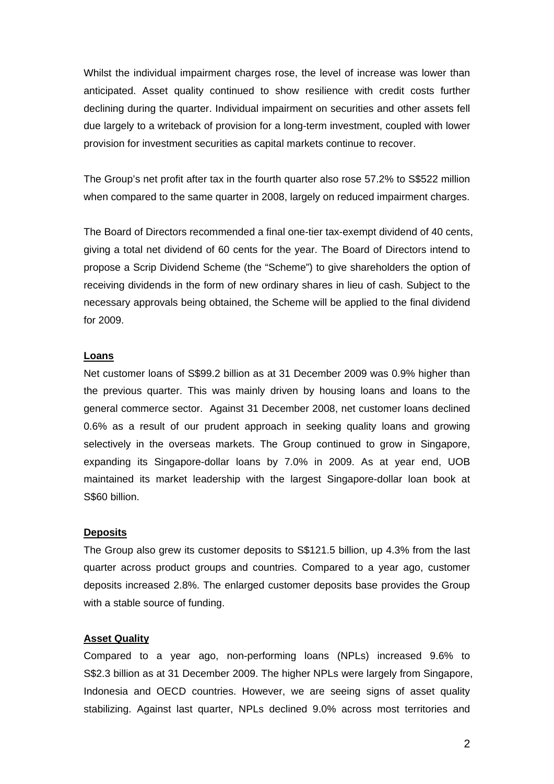Whilst the individual impairment charges rose, the level of increase was lower than anticipated. Asset quality continued to show resilience with credit costs further declining during the quarter. Individual impairment on securities and other assets fell due largely to a writeback of provision for a long-term investment, coupled with lower provision for investment securities as capital markets continue to recover.

The Group's net profit after tax in the fourth quarter also rose 57.2% to S\$522 million when compared to the same quarter in 2008, largely on reduced impairment charges.

The Board of Directors recommended a final one-tier tax-exempt dividend of 40 cents, giving a total net dividend of 60 cents for the year. The Board of Directors intend to propose a Scrip Dividend Scheme (the "Scheme") to give shareholders the option of receiving dividends in the form of new ordinary shares in lieu of cash. Subject to the necessary approvals being obtained, the Scheme will be applied to the final dividend for 2009.

#### **Loans**

Net customer loans of S\$99.2 billion as at 31 December 2009 was 0.9% higher than the previous quarter. This was mainly driven by housing loans and loans to the general commerce sector. Against 31 December 2008, net customer loans declined 0.6% as a result of our prudent approach in seeking quality loans and growing selectively in the overseas markets. The Group continued to grow in Singapore, expanding its Singapore-dollar loans by 7.0% in 2009. As at year end, UOB maintained its market leadership with the largest Singapore-dollar loan book at S\$60 billion.

#### **Deposits**

The Group also grew its customer deposits to S\$121.5 billion, up 4.3% from the last quarter across product groups and countries. Compared to a year ago, customer deposits increased 2.8%. The enlarged customer deposits base provides the Group with a stable source of funding.

#### **Asset Quality**

Compared to a year ago, non-performing loans (NPLs) increased 9.6% to S\$2.3 billion as at 31 December 2009. The higher NPLs were largely from Singapore, Indonesia and OECD countries. However, we are seeing signs of asset quality stabilizing. Against last quarter, NPLs declined 9.0% across most territories and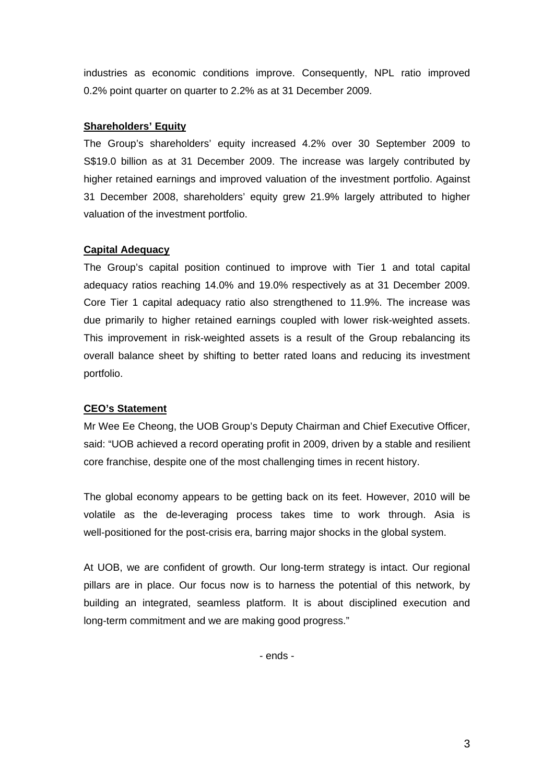industries as economic conditions improve. Consequently, NPL ratio improved 0.2% point quarter on quarter to 2.2% as at 31 December 2009.

#### **Shareholders' Equity**

The Group's shareholders' equity increased 4.2% over 30 September 2009 to S\$19.0 billion as at 31 December 2009. The increase was largely contributed by higher retained earnings and improved valuation of the investment portfolio. Against 31 December 2008, shareholders' equity grew 21.9% largely attributed to higher valuation of the investment portfolio.

#### **Capital Adequacy**

The Group's capital position continued to improve with Tier 1 and total capital adequacy ratios reaching 14.0% and 19.0% respectively as at 31 December 2009. Core Tier 1 capital adequacy ratio also strengthened to 11.9%. The increase was due primarily to higher retained earnings coupled with lower risk-weighted assets. This improvement in risk-weighted assets is a result of the Group rebalancing its overall balance sheet by shifting to better rated loans and reducing its investment portfolio.

#### **CEO's Statement**

Mr Wee Ee Cheong, the UOB Group's Deputy Chairman and Chief Executive Officer, said: "UOB achieved a record operating profit in 2009, driven by a stable and resilient core franchise, despite one of the most challenging times in recent history.

The global economy appears to be getting back on its feet. However, 2010 will be volatile as the de-leveraging process takes time to work through. Asia is well-positioned for the post-crisis era, barring major shocks in the global system.

At UOB, we are confident of growth. Our long-term strategy is intact. Our regional pillars are in place. Our focus now is to harness the potential of this network, by building an integrated, seamless platform. It is about disciplined execution and long-term commitment and we are making good progress."

- ends -